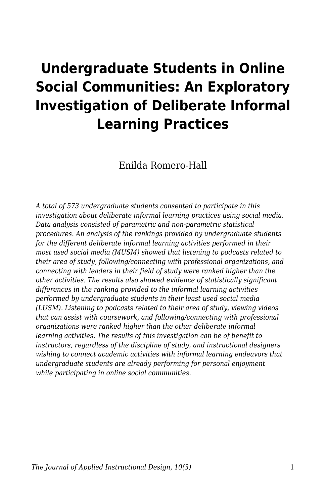# **Undergraduate Students in Online Social Communities: An Exploratory Investigation of Deliberate Informal Learning Practices**

Enilda Romero-Hall

*A total of 573 undergraduate students consented to participate in this investigation about deliberate informal learning practices using social media. Data analysis consisted of parametric and non-parametric statistical procedures. An analysis of the rankings provided by undergraduate students for the different deliberate informal learning activities performed in their most used social media (MUSM) showed that listening to podcasts related to their area of study, following/connecting with professional organizations, and connecting with leaders in their field of study were ranked higher than the other activities. The results also showed evidence of statistically significant differences in the ranking provided to the informal learning activities performed by undergraduate students in their least used social media (LUSM). Listening to podcasts related to their area of study, viewing videos that can assist with coursework, and following/connecting with professional organizations were ranked higher than the other deliberate informal learning activities. The results of this investigation can be of benefit to instructors, regardless of the discipline of study, and instructional designers wishing to connect academic activities with informal learning endeavors that undergraduate students are already performing for personal enjoyment while participating in online social communities.*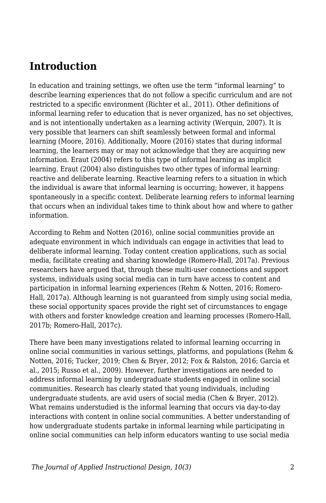## **Introduction**

In education and training settings, we often use the term "informal learning" to describe learning experiences that do not follow a specific curriculum and are not restricted to a specific environment (Richter et al., 2011). Other definitions of informal learning refer to education that is never organized, has no set objectives, and is not intentionally undertaken as a learning activity (Werquin, 2007). It is very possible that learners can shift seamlessly between formal and informal learning (Moore, 2016). Additionally, Moore (2016) states that during informal learning, the learners may or may not acknowledge that they are acquiring new information. Eraut (2004) refers to this type of informal learning as implicit learning. Eraut (2004) also distinguishes two other types of informal learning: reactive and deliberate learning. Reactive learning refers to a situation in which the individual is aware that informal learning is occurring; however, it happens spontaneously in a specific context. Deliberate learning refers to informal learning that occurs when an individual takes time to think about how and where to gather information.

According to Rehm and Notten (2016), online social communities provide an adequate environment in which individuals can engage in activities that lead to deliberate informal learning. Today content creation applications, such as social media, facilitate creating and sharing knowledge (Romero-Hall, 2017a). Previous researchers have argued that, through these multi-user connections and support systems, individuals using social media can in turn have access to content and participation in informal learning experiences (Rehm & Notten, 2016; Romero-Hall, 2017a). Although learning is not guaranteed from simply using social media, these social opportunity spaces provide the right set of circumstances to engage with others and forster knowledge creation and learning processes (Romero-Hall, 2017b; Romero-Hall, 2017c).

There have been many investigations related to informal learning occurring in online social communities in various settings, platforms, and populations (Rehm & Notten, 2016; Tucker, 2019; Chen & Bryer, 2012; Fox & Ralston, 2016; Garcia et al., 2015; Russo et al., 2009). However, further investigations are needed to address informal learning by undergraduate students engaged in online social communities. Research has clearly stated that young individuals, including undergraduate students, are avid users of social media (Chen & Bryer, 2012). What remains understudied is the informal learning that occurs via day-to-day interactions with content in online social communities. A better understanding of how undergraduate students partake in informal learning while participating in online social communities can help inform educators wanting to use social media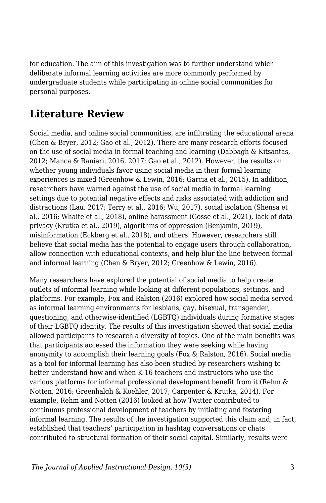for education. The aim of this investigation was to further understand which deliberate informal learning activities are more commonly performed by undergraduate students while participating in online social communities for personal purposes.

## **Literature Review**

Social media, and online social communities, are infiltrating the educational arena (Chen & Bryer, 2012; Gao et al., 2012). There are many research efforts focused on the use of social media in formal teaching and learning (Dabbagh & Kitsantas, 2012; Manca & Ranieri, 2016, 2017; Gao et al., 2012). However, the results on whether young individuals favor using social media in their formal learning experiences is mixed (Greenhow & Lewin, 2016; Garcia et al., 2015). In addition, researchers have warned against the use of social media in formal learning settings due to potential negative effects and risks associated with addiction and distractions (Lau, 2017; Terry et al., 2016; Wu, 2017), social isolation (Shensa et al., 2016; Whaite et al., 2018), online harassment (Gosse et al., 2021), lack of data privacy (Krutka et al., 2019), algorithms of oppression (Benjamin, 2019), misinformation (Eckberg et al., 2018), and others. However, researchers still believe that social media has the potential to engage users through collaboration, allow connection with educational contexts, and help blur the line between formal and informal learning (Chen & Bryer, 2012; Greenhow & Lewin, 2016).

Many researchers have explored the potential of social media to help create outlets of informal learning while looking at different populations, settings, and platforms. For example, Fox and Ralston (2016) explored how social media served as informal learning environments for lesbians, gay, bisexual, transgender, questioning, and otherwise-identified (LGBTQ) individuals during formative stages of their LGBTQ identity. The results of this investigation showed that social media allowed participants to research a diversity of topics. One of the main benefits was that participants accessed the information they were seeking while having anonymity to accomplish their learning goals (Fox & Ralston, 2016). Social media as a tool for informal learning has also been studied by researchers wishing to better understand how and when K-16 teachers and instructors who use the various platforms for informal professional development benefit from it (Rehm & Notten, 2016; Greenhalgh & Koehler, 2017; Carpenter & Krutka, 2014). For example, Rehm and Notten (2016) looked at how Twitter contributed to continuous professional development of teachers by initiating and fostering informal learning. The results of the investigation supported this claim and, in fact, established that teachers' participation in hashtag conversations or chats contributed to structural formation of their social capital. Similarly, results were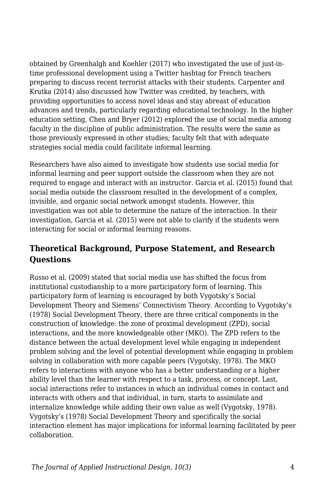obtained by Greenhalgh and Koehler (2017) who investigated the use of just-intime professional development using a Twitter hashtag for French teachers preparing to discuss recent terrorist attacks with their students. Carpenter and Krutka (2014) also discussed how Twitter was credited, by teachers, with providing opportunities to access novel ideas and stay abreast of education advances and trends, particularly regarding educational technology. In the higher education setting, Chen and Bryer (2012) explored the use of social media among faculty in the discipline of public administration. The results were the same as those previously expressed in other studies; faculty felt that with adequate strategies social media could facilitate informal learning.

Researchers have also aimed to investigate how students use social media for informal learning and peer support outside the classroom when they are not required to engage and interact with an instructor. Garcia et al. (2015) found that social media outside the classroom resulted in the development of a complex, invisible, and organic social network amongst students. However, this investigation was not able to determine the nature of the interaction. In their investigation, Garcia et al. (2015) were not able to clarify if the students were interacting for social or informal learning reasons.

## **Theoretical Background, Purpose Statement, and Research Questions**

Russo et al. (2009) stated that social media use has shifted the focus from institutional custodianship to a more participatory form of learning. This participatory form of learning is encouraged by both Vygotsky's Social Development Theory and Siemens' Connectivism Theory. According to Vygotsky's (1978) Social Development Theory, there are three critical components in the construction of knowledge: the zone of proximal development (ZPD), social interactions, and the more knowledgeable other (MKO). The ZPD refers to the distance between the actual development level while engaging in independent problem solving and the level of potential development while engaging in problem solving in collaboration with more capable peers (Vygotsky, 1978). The MKO refers to interactions with anyone who has a better understanding or a higher ability level than the learner with respect to a task, process, or concept. Last, social interactions refer to instances in which an individual comes in contact and interacts with others and that individual, in turn, starts to assimilate and internalize knowledge while adding their own value as well (Vygotsky, 1978). Vygotsky's (1978) Social Development Theory and specifically the social interaction element has major implications for informal learning facilitated by peer collaboration.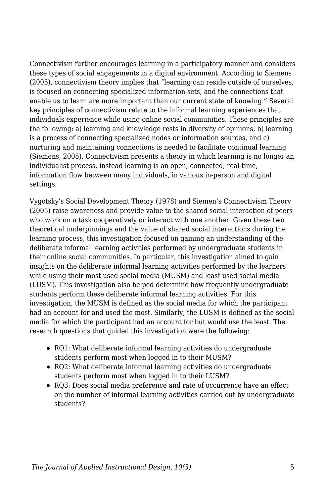Connectivism further encourages learning in a participatory manner and considers these types of social engagements in a digital environment. According to Siemens (2005), connectivism theory implies that "learning can reside outside of ourselves, is focused on connecting specialized information sets, and the connections that enable us to learn are more important than our current state of knowing." Several key principles of connectivism relate to the informal learning experiences that individuals experience while using online social communities. These principles are the following: a) learning and knowledge rests in diversity of opinions, b) learning is a process of connecting specialized nodes or information sources, and c) nurturing and maintaining connections is needed to facilitate continual learning (Siemens, 2005). Connectivism presents a theory in which learning is no longer an individualist process, instead learning is an open, connected, real-time, information flow between many individuals, in various in-person and digital settings.

Vygotsky's Social Development Theory (1978) and Siemen's Connectivism Theory (2005) raise awareness and provide value to the shared social interaction of peers who work on a task cooperatively or interact with one another. Given these two theoretical underpinnings and the value of shared social interactions during the learning process, this investigation focused on gaining an understanding of the deliberate informal learning activities performed by undergraduate students in their online social communities. In particular, this investigation aimed to gain insights on the deliberate informal learning activities performed by the learners' while using their most used social media (MUSM) and least used social media (LUSM). This investigation also helped determine how frequently undergraduate students perform these deliberate informal learning activities. For this investigation, the MUSM is defined as the social media for which the participant had an account for and used the most. Similarly, the LUSM is defined as the social media for which the participant had an account for but would use the least. The research questions that guided this investigation were the following:

- RQ1: What deliberate informal learning activities do undergraduate students perform most when logged in to their MUSM?
- RQ2: What deliberate informal learning activities do undergraduate students perform most when logged in to their LUSM?
- RQ3: Does social media preference and rate of occurrence have an effect on the number of informal learning activities carried out by undergraduate students?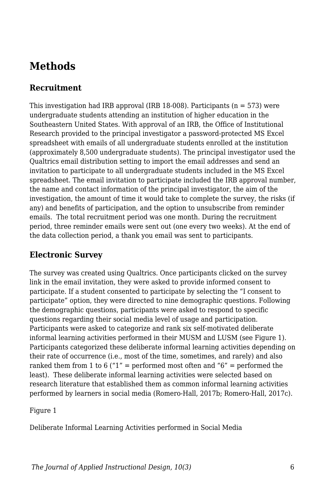## **Methods**

### **Recruitment**

This investigation had IRB approval (IRB 18-008). Participants ( $n = 573$ ) were undergraduate students attending an institution of higher education in the Southeastern United States. With approval of an IRB, the Office of Institutional Research provided to the principal investigator a password-protected MS Excel spreadsheet with emails of all undergraduate students enrolled at the institution (approximately 8,500 undergraduate students). The principal investigator used the Qualtrics email distribution setting to import the email addresses and send an invitation to participate to all undergraduate students included in the MS Excel spreadsheet. The email invitation to participate included the IRB approval number, the name and contact information of the principal investigator, the aim of the investigation, the amount of time it would take to complete the survey, the risks (if any) and benefits of participation, and the option to unsubscribe from reminder emails. The total recruitment period was one month. During the recruitment period, three reminder emails were sent out (one every two weeks). At the end of the data collection period, a thank you email was sent to participants.

#### **Electronic Survey**

The survey was created using Qualtrics. Once participants clicked on the survey link in the email invitation, they were asked to provide informed consent to participate. If a student consented to participate by selecting the "I consent to participate" option, they were directed to nine demographic questions. Following the demographic questions, participants were asked to respond to specific questions regarding their social media level of usage and participation. Participants were asked to categorize and rank six self-motivated deliberate informal learning activities performed in their MUSM and LUSM (see Figure 1). Participants categorized these deliberate informal learning activities depending on their rate of occurrence (i.e., most of the time, sometimes, and rarely) and also ranked them from 1 to 6 ("1" = performed most often and "6" = performed the least). These deliberate informal learning activities were selected based on research literature that established them as common informal learning activities performed by learners in social media (Romero-Hall, 2017b; Romero-Hall, 2017c).

Figure 1

Deliberate Informal Learning Activities performed in Social Media

*The Journal of Applied Instructional Design, 10(3)* 6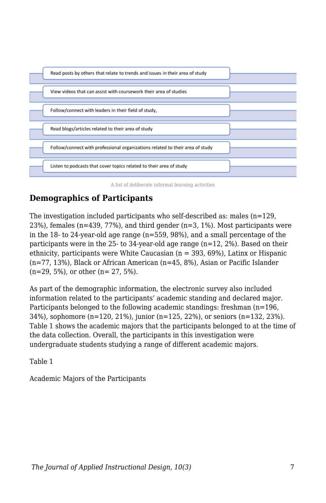

A list of deliberate informal learning activities

## **Demographics of Participants**

The investigation included participants who self-described as: males (n=129,  $23\%$ ), females (n=439, 77%), and third gender (n=3, 1%). Most participants were in the 18- to 24-year-old age range (n=559, 98%), and a small percentage of the participants were in the 25- to 34-year-old age range (n=12, 2%). Based on their ethnicity, participants were White Caucasian  $(n = 393, 69\%)$ , Latinx or Hispanic (n=77, 13%), Black or African American (n=45, 8%), Asian or Pacific Islander (n=29, 5%), or other (n= 27, 5%).

As part of the demographic information, the electronic survey also included information related to the participants' academic standing and declared major. Participants belonged to the following academic standings: freshman (n=196, 34%), sophomore (n=120, 21%), junior (n=125, 22%), or seniors (n=132, 23%). Table 1 shows the academic majors that the participants belonged to at the time of the data collection. Overall, the participants in this investigation were undergraduate students studying a range of different academic majors.

Table 1

Academic Majors of the Participants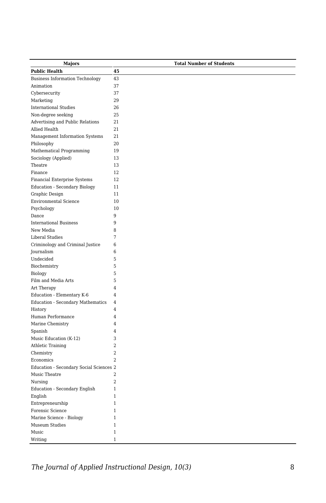| Majors                                     | <b>Total Number of Students</b> |
|--------------------------------------------|---------------------------------|
| <b>Public Health</b>                       | 45                              |
| <b>Business Information Technology</b>     | 43                              |
| Animation                                  | 37                              |
| Cybersecurity                              | 37                              |
| Marketing                                  | 29                              |
| <b>International Studies</b>               | 26                              |
| Non-degree seeking                         | 25                              |
| Advertising and Public Relations           | 21                              |
| Allied Health                              | 21                              |
| Management Information Systems             | 21                              |
| Philosophy                                 | 20                              |
| Mathematical Programming                   | 19                              |
| Sociology (Applied)                        | 13                              |
| Theatre                                    | 13                              |
| Finance                                    | 12                              |
| Financial Enterprise Systems               | 12                              |
| <b>Education - Secondary Biology</b>       | 11                              |
| Graphic Design                             | 11                              |
| <b>Environmental Science</b>               | 10                              |
| Psychology                                 | 10                              |
| Dance                                      | 9                               |
| <b>International Business</b>              | 9                               |
| New Media                                  | 8                               |
| <b>Liberal Studies</b>                     | 7                               |
| Criminology and Criminal Justice           | 6                               |
| Journalism                                 | 6                               |
| Undecided                                  | 5                               |
| Biochemistry                               | 5                               |
| Biology                                    | 5                               |
| Film and Media Arts                        | 5                               |
| Art Therapy                                | 4                               |
| Education - Elementary K-6                 | $\overline{4}$                  |
| <b>Education - Secondary Mathematics</b>   | 4                               |
| History                                    | $\overline{4}$                  |
| Human Performance                          | 4                               |
| Marine Chemistry                           | 4                               |
| Spanish                                    | $\overline{4}$                  |
| Music Education (K-12)                     | 3                               |
| Athletic Training                          | $\overline{2}$                  |
|                                            | 2                               |
| Chemistry<br>Economics                     | $\overline{2}$                  |
| Education - Secondary Social Sciences 2    |                                 |
| Music Theatre                              | $\overline{2}$                  |
| Nursing                                    | $\overline{a}$                  |
|                                            | $\mathbf{1}$                    |
| Education - Secondary English              | $\mathbf{1}$                    |
| English                                    | $\mathbf{1}$                    |
| Entrepreneurship                           | $\mathbf{1}$                    |
| Forensic Science                           | $\mathbf{1}$                    |
| Marine Science - Biology<br>Museum Studies | $\mathbf{1}$                    |
| Music                                      | $\mathbf{1}$                    |
| Writing                                    | $\mathbf{1}$                    |
|                                            |                                 |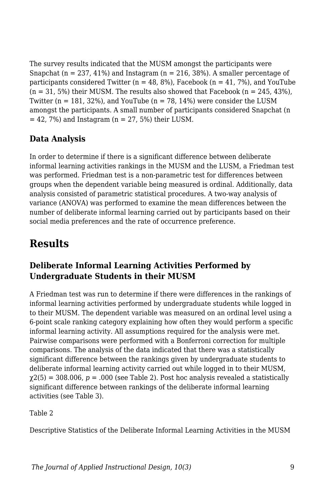The survey results indicated that the MUSM amongst the participants were Snapchat ( $n = 237, 41\%$ ) and Instagram ( $n = 216, 38\%$ ). A smaller percentage of participants considered Twitter ( $n = 48, 8\%$ ), Facebook ( $n = 41, 7\%$ ), and YouTube  $(n = 31, 5\%)$  their MUSM. The results also showed that Facebook  $(n = 245, 43\%)$ , Twitter ( $n = 181, 32\%$ ), and YouTube ( $n = 78, 14\%$ ) were consider the LUSM amongst the participants. A small number of participants considered Snapchat (n  $= 42$ , 7%) and Instagram (n  $= 27$ , 5%) their LUSM.

## **Data Analysis**

In order to determine if there is a significant difference between deliberate informal learning activities rankings in the MUSM and the LUSM, a Friedman test was performed. Friedman test is a non-parametric test for differences between groups when the dependent variable being measured is ordinal. Additionally, data analysis consisted of parametric statistical procedures. A two-way analysis of variance (ANOVA) was performed to examine the mean differences between the number of deliberate informal learning carried out by participants based on their social media preferences and the rate of occurrence preference.

## **Results**

## **Deliberate Informal Learning Activities Performed by Undergraduate Students in their MUSM**

A Friedman test was run to determine if there were differences in the rankings of informal learning activities performed by undergraduate students while logged in to their MUSM. The dependent variable was measured on an ordinal level using a 6-point scale ranking category explaining how often they would perform a specific informal learning activity. All assumptions required for the analysis were met. Pairwise comparisons were performed with a Bonferroni correction for multiple comparisons. The analysis of the data indicated that there was a statistically significant difference between the rankings given by undergraduate students to deliberate informal learning activity carried out while logged in to their MUSM,  $\chi$ 2(5) = 308.006,  $p = .000$  (see Table 2). Post hoc analysis revealed a statistically significant difference between rankings of the deliberate informal learning activities (see Table 3).

Table 2

Descriptive Statistics of the Deliberate Informal Learning Activities in the MUSM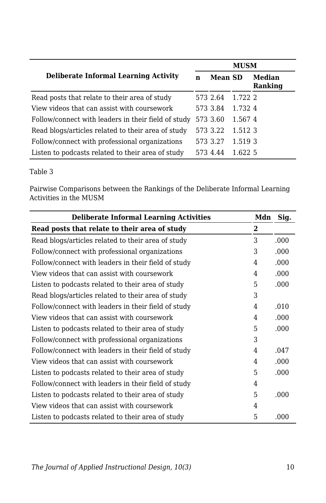|                                                     |   | <b>MUSM</b>    |         |                   |  |
|-----------------------------------------------------|---|----------------|---------|-------------------|--|
| <b>Deliberate Informal Learning Activity</b>        | n | <b>Mean SD</b> |         | Median<br>Ranking |  |
| Read posts that relate to their area of study       |   | 573 2.64       | 1.722 2 |                   |  |
| View videos that can assist with coursework         |   | 573 3.84       | 1.732.4 |                   |  |
| Follow/connect with leaders in their field of study |   | 573 3.60       | 1.5674  |                   |  |
| Read blogs/articles related to their area of study  |   | 573 3.22       | 1.5123  |                   |  |
| Follow/connect with professional organizations      |   | 573 3.27       | 1.519 3 |                   |  |
| Listen to podcasts related to their area of study   |   | 573 4.44       | 1.622 5 |                   |  |

#### Table 3

Pairwise Comparisons between the Rankings of the Deliberate Informal Learning Activities in the MUSM

| <b>Deliberate Informal Learning Activities</b>      | Mdn | Sig. |
|-----------------------------------------------------|-----|------|
| Read posts that relate to their area of study       | 2   |      |
| Read blogs/articles related to their area of study  | 3   | .000 |
| Follow/connect with professional organizations      | 3   | .000 |
| Follow/connect with leaders in their field of study | 4   | .000 |
| View videos that can assist with coursework         | 4   | .000 |
| Listen to podcasts related to their area of study   | 5   | .000 |
| Read blogs/articles related to their area of study  | 3   |      |
| Follow/connect with leaders in their field of study | 4   | .010 |
| View videos that can assist with coursework         | 4   | .000 |
| Listen to podcasts related to their area of study   | 5   | .000 |
| Follow/connect with professional organizations      | 3   |      |
| Follow/connect with leaders in their field of study | 4   | .047 |
| View videos that can assist with coursework         | 4   | .000 |
| Listen to podcasts related to their area of study   | 5   | .000 |
| Follow/connect with leaders in their field of study | 4   |      |
| Listen to podcasts related to their area of study   | 5   | .000 |
| View videos that can assist with coursework         | 4   |      |
| Listen to podcasts related to their area of study   | 5   | .000 |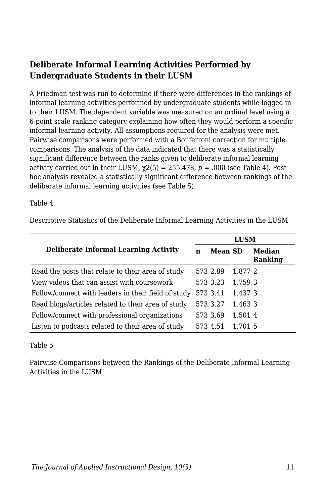### **Deliberate Informal Learning Activities Performed by Undergraduate Students in their LUSM**

A Friedman test was run to determine if there were differences in the rankings of informal learning activities performed by undergraduate students while logged in to their LUSM. The dependent variable was measured on an ordinal level using a 6-point scale ranking category explaining how often they would perform a specific informal learning activity. All assumptions required for the analysis were met. Pairwise comparisons were performed with a Bonferroni correction for multiple comparisons. The analysis of the data indicated that there was a statistically significant difference between the ranks given to deliberate informal learning activity carried out in their LUSM,  $\gamma$ 2(5) = 255.478,  $p = .000$  (see Table 4). Post hoc analysis revealed a statistically significant difference between rankings of the deliberate informal learning activities (see Table 5).

#### Table 4

Descriptive Statistics of the Deliberate Informal Learning Activities in the LUSM

|                                                     | <b>LUSM</b> |                |         |                   |
|-----------------------------------------------------|-------------|----------------|---------|-------------------|
| <b>Deliberate Informal Learning Activity</b>        | n           | <b>Mean SD</b> |         | Median<br>Ranking |
| Read the posts that relate to their area of study   |             | 573 2.89       | 1.877 2 |                   |
| View videos that can assist with coursework         |             | 573 3.23       | 1.759 3 |                   |
| Follow/connect with leaders in their field of study |             | 573 3.41       | 1.437.3 |                   |
| Read blogs/articles related to their area of study  |             | 573 3.27       | 1.463 3 |                   |
| Follow/connect with professional organizations      |             | 573 3.69       | 1.501 4 |                   |
| Listen to podcasts related to their area of study   |             | 573 4.51       | 1.701.5 |                   |

#### Table 5

Pairwise Comparisons between the Rankings of the Deliberate Informal Learning Activities in the LUSM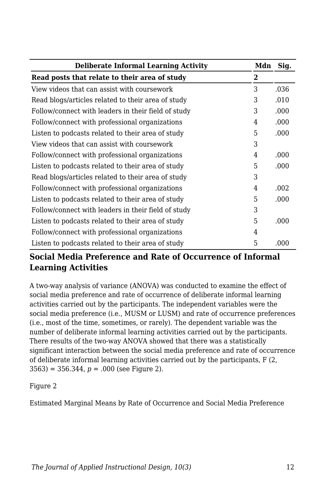| <b>Deliberate Informal Learning Activity</b>        | Mdn | Sig. |
|-----------------------------------------------------|-----|------|
| Read posts that relate to their area of study       | 2   |      |
| View videos that can assist with coursework         | 3   | .036 |
| Read blogs/articles related to their area of study  | 3   | .010 |
| Follow/connect with leaders in their field of study | 3   | .000 |
| Follow/connect with professional organizations      | 4   | .000 |
| Listen to podcasts related to their area of study   | 5   | .000 |
| View videos that can assist with coursework         | 3   |      |
| Follow/connect with professional organizations      | 4   | .000 |
| Listen to podcasts related to their area of study   | 5   | .000 |
| Read blogs/articles related to their area of study  | 3   |      |
| Follow/connect with professional organizations      | 4   | .002 |
| Listen to podcasts related to their area of study   | 5   | .000 |
| Follow/connect with leaders in their field of study | 3   |      |
| Listen to podcasts related to their area of study   | 5   | .000 |
| Follow/connect with professional organizations      | 4   |      |
| Listen to podcasts related to their area of study   | 5   | .000 |

### **Social Media Preference and Rate of Occurrence of Informal Learning Activities**

A two-way analysis of variance (ANOVA) was conducted to examine the effect of social media preference and rate of occurrence of deliberate informal learning activities carried out by the participants. The independent variables were the social media preference (i.e., MUSM or LUSM) and rate of occurrence preferences (i.e., most of the time, sometimes, or rarely). The dependent variable was the number of deliberate informal learning activities carried out by the participants. There results of the two-way ANOVA showed that there was a statistically significant interaction between the social media preference and rate of occurrence of deliberate informal learning activities carried out by the participants, F (2, 3563) = 356.344, *p* = .000 (see Figure 2).

Figure 2

Estimated Marginal Means by Rate of Occurrence and Social Media Preference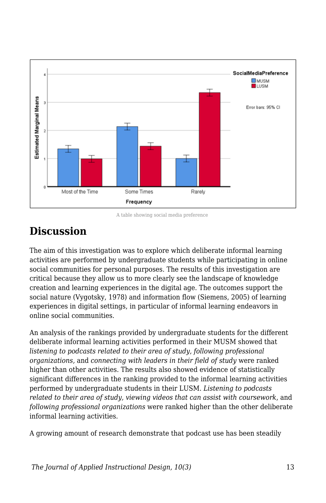

A table showing social media preference

## **Discussion**

The aim of this investigation was to explore which deliberate informal learning activities are performed by undergraduate students while participating in online social communities for personal purposes. The results of this investigation are critical because they allow us to more clearly see the landscape of knowledge creation and learning experiences in the digital age. The outcomes support the social nature (Vygotsky, 1978) and information flow (Siemens, 2005) of learning experiences in digital settings, in particular of informal learning endeavors in online social communities.

An analysis of the rankings provided by undergraduate students for the different deliberate informal learning activities performed in their MUSM showed that *listening to podcasts related to their area of study, following professional organizations,* and *connecting with leaders in their field of study* were ranked higher than other activities*.* The results also showed evidence of statistically significant differences in the ranking provided to the informal learning activities performed by undergraduate students in their LUSM. *Listening to podcasts related to their area of study, viewing videos that can assist with coursework*, and *following professional organizations* were ranked higher than the other deliberate informal learning activities*.*

A growing amount of research demonstrate that podcast use has been steadily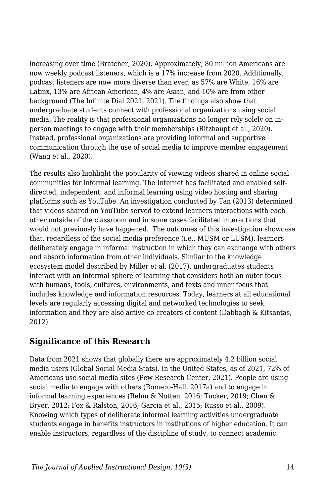increasing over time (Bratcher, 2020). Approximately, 80 million Americans are now weekly podcast listeners, which is a 17% increase from 2020. Additionally, podcast listeners are now more diverse than ever, as 57% are White, 16% are Latinx, 13% are African American, 4% are Asian, and 10% are from other background (The Infinite Dial 2021, 2021). The findings also show that undergraduate students connect with professional organizations using social media. The reality is that professional organizations no longer rely solely on inperson meetings to engage with their memberships (Ritzhaupt et al., 2020). Instead, professional organizations are providing informal and supportive communication through the use of social media to improve member engagement (Wang et al., 2020).

The results also highlight the popularity of viewing videos shared in online social communities for informal learning. The Internet has facilitated and enabled selfdirected, independent, and informal learning using video hosting and sharing platforms such as YouTube. An investigation conducted by Tan (2013) determined that videos shared on YouTube served to extend learners interactions with each other outside of the classroom and in some cases facilitated interactions that would not previously have happened. The outcomes of this investigation showcase that, regardless of the social media preference (i.e., MUSM or LUSM), learners deliberately engage in informal instruction in which they can exchange with others and absorb information from other individuals. Similar to the knowledge ecosystem model described by Miller et al. (2017), undergraduates students interact with an informal sphere of learning that considers both an outer focus with humans, tools, cultures, environments, and texts and inner focus that includes knowledge and information resources. Today, learners at all educational levels are regularly accessing digital and networked technologies to seek information and they are also active co-creators of content (Dabbagh & Kitsantas, 2012).

### **Significance of this Research**

Data from 2021 shows that globally there are approximately 4.2 billion social media users (Global Social Media Stats). In the United States, as of 2021, 72% of Americans use social media sites (Pew Research Center, 2021). People are using social media to engage with others (Romero-Hall, 2017a) and to engage in informal learning experiences (Rehm & Notten, 2016; Tucker, 2019; Chen & Bryer, 2012; Fox & Ralston, 2016; Garcia et al., 2015; Russo et al., 2009). Knowing which types of deliberate informal learning activities undergraduate students engage in benefits instructors in institutions of higher education. It can enable instructors, regardless of the discipline of study, to connect academic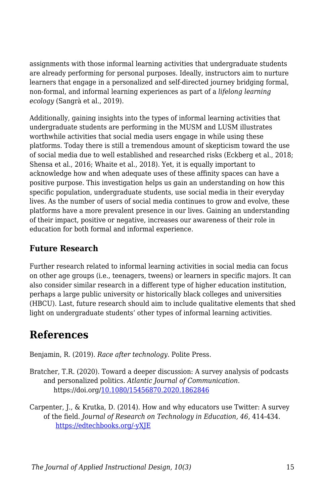assignments with those informal learning activities that undergraduate students are already performing for personal purposes. Ideally, instructors aim to nurture learners that engage in a personalized and self-directed journey bridging formal, non-formal, and informal learning experiences as part of a *lifelong learning ecology* (Sangrà et al., 2019).

Additionally, gaining insights into the types of informal learning activities that undergraduate students are performing in the MUSM and LUSM illustrates worthwhile activities that social media users engage in while using these platforms. Today there is still a tremendous amount of skepticism toward the use of social media due to well established and researched risks (Eckberg et al., 2018; Shensa et al., 2016; Whaite et al., 2018). Yet, it is equally important to acknowledge how and when adequate uses of these affinity spaces can have a positive purpose. This investigation helps us gain an understanding on how this specific population, undergraduate students, use social media in their everyday lives. As the number of users of social media continues to grow and evolve, these platforms have a more prevalent presence in our lives. Gaining an understanding of their impact, positive or negative, increases our awareness of their role in education for both formal and informal experience.

## **Future Research**

Further research related to informal learning activities in social media can focus on other age groups (i.e., teenagers, tweens) or learners in specific majors. It can also consider similar research in a different type of higher education institution, perhaps a large public university or historically black colleges and universities (HBCU). Last, future research should aim to include qualitative elements that shed light on undergraduate students' other types of informal learning activities.

## **References**

Benjamin, R. (2019). *Race after technology*. Polite Press.

- Bratcher, T.R. (2020). Toward a deeper discussion: A survey analysis of podcasts and personalized politics. *Atlantic Journal of Communication*. https://doi.org/[10.1080/15456870.2020.1862846](https://doi-org.esearch.ut.edu/10.1080/15456870.2020.1862846)
- Carpenter, J., & Krutka, D. (2014). How and why educators use Twitter: A survey of the field. *Journal of Research on Technology in Education, 46*, 414-434. [https://edtechbooks.org/-yXJE](https://doi.org/10.1080/15391523.2014.925701)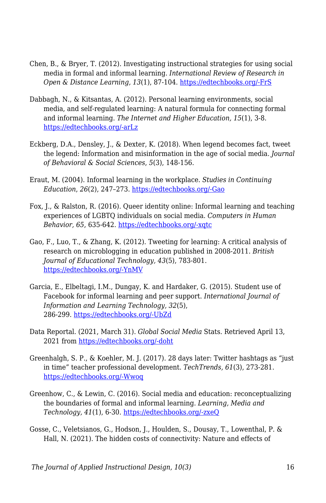- Chen, B., & Bryer, T. (2012). Investigating instructional strategies for using social media in formal and informal learning. *International Review of Research in Open & Distance Learning, 13*(1), 87-104. [https://edtechbooks.org/-FrS](https://doi.org/10.19173/irrodl.v13i1.1027)
- Dabbagh, N., & Kitsantas, A. (2012). Personal learning environments, social media, and self-regulated learning: A natural formula for connecting formal and informal learning. *The Internet and Higher Education, 15*(1), 3-8. [https://edtechbooks.org/-arLz](http://dx.doi.org/10.1016/j.iheduc.2011.06.002)
- Eckberg, D.A., Densley, J., & Dexter, K. (2018). When legend becomes fact, tweet the legend: Information and misinformation in the age of social media*. Journal of Behavioral & Social Sciences*, *5*(3), 148-156.
- Eraut, M. (2004). Informal learning in the workplace. *Studies in Continuing Education*, *26*(2), 247–273. [https://edtechbooks.org/-Gao](https://doi.org/10.1080/158037042000225245)
- Fox, J., & Ralston, R. (2016). Queer identity online: Informal learning and teaching experiences of LGBTQ individuals on social media. *Computers in Human Behavior, 65*, 635-642. [https://edtechbooks.org/-xqtc](https://doi.org/10.1016/j.chb.2016.06.009)
- Gao, F., Luo, T., & Zhang, K. (2012). Tweeting for learning: A critical analysis of research on microblogging in education published in 2008-2011. *British Journal of Educational Technology, 43*(5), 783-801. [https://edtechbooks.org/-YnMV](http://dx.doi.org/10.1111/j.1467-8535.2012.01357.x)
- Garcia, E., Elbeltagi, I.M., Dungay, K. and Hardaker, G. (2015). Student use of Facebook for informal learning and peer support. *International Journal of Information and Learning Technology, 32*(5), 286-299. [https://edtechbooks.org/-UbZd](https://doi.org/10.1108/IJILT-09-2015-0024)
- Data Reportal. (2021, March 31). *Global Social Media* Stats. Retrieved April 13, 2021 from [https://edtechbooks.org/-doht](https://datareportal.com/social-media-users)
- Greenhalgh, S. P., & Koehler, M. J. (2017). 28 days later: Twitter hashtags as "just in time" teacher professional development. *TechTrends, 61*(3), 273-281. [https://edtechbooks.org/-Wwoq](http://dx.doi.org/10.1007/s11528-016-0142-4)
- Greenhow, C., & Lewin, C. (2016). Social media and education: reconceptualizing the boundaries of formal and informal learning. *Learning, Media and Technology, 41*(1), 6-30. [https://edtechbooks.org/-zxeQ](http://dx.doi.org/10.1080/17439884.2015.1064954)
- Gosse, C., Veletsianos, G., Hodson, J., Houlden, S., Dousay, T., Lowenthal, P. & Hall, N. (2021). The hidden costs of connectivity: Nature and effects of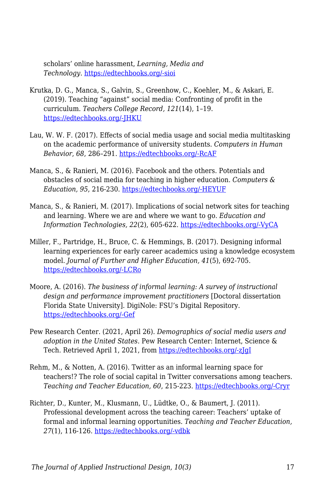scholars' online harassment, *Learning, Media and Technology*. [https://edtechbooks.org/-sioi](http://dx.doi.org/10.1080/17439884.2021.1878218)

- Krutka, D. G., Manca, S., Galvin, S., Greenhow, C., Koehler, M., & Askari, E. (2019). Teaching "against" social media: Confronting of profit in the curriculum. *Teachers College Record, 121*(14), 1–19. [https://edtechbooks.org/-JHKU](https://www-tcrecord-org.esearch.ut.edu/library)
- Lau, W. W. F. (2017). Effects of social media usage and social media multitasking on the academic performance of university students. *Computers in Human Behavior*, *68*, 286–291. [https://edtechbooks.org/-RcAF](https://doi-org.esearch.ut.edu/10.1016/j.chb.2016.11.043)
- Manca, S., & Ranieri, M. (2016). Facebook and the others. Potentials and obstacles of social media for teaching in higher education. *Computers & Education, 95*, 216-230. [https://edtechbooks.org/-HEYUF](https://doi.org/10.1016/j.compedu.2016.01.012)
- Manca, S., & Ranieri, M. (2017). Implications of social network sites for teaching and learning. Where we are and where we want to go. *Education and Information Technologies, 22*(2), 605-622. [https://edtechbooks.org/-VyCA](http://dx.doi.org/10.1007/s10639-015-9429-x)
- Miller, F., Partridge, H., Bruce, C. & Hemmings, B. (2017). Designing informal learning experiences for early career academics using a knowledge ecosystem model. *Journal of Further and Higher Education, 41*(5), 692-705. [https://edtechbooks.org/-LCRo](http://dx.doi.org/10.1080/0309877X.2016.1177165)
- Moore, A. (2016). *The business of informal learning: A survey of instructional design and performance improvement practitioners* [Doctoral dissertation Florida State University]. DigiNole: FSU's Digital Repository. [https://edtechbooks.org/-Gef](http://purl.flvc.org/fsu/fd/FSU_FA2016_Moore_fsu_0071E_13493)
- Pew Research Center. (2021, April 26). *Demographics of social media users and adoption in the United States*. Pew Research Center: Internet, Science & Tech. Retrieved April 1, 2021, from [https://edtechbooks.org/-zJgI](https://www.pewresearch.org/internet/fact-sheet/social-media)
- Rehm, M., & Notten, A. (2016). Twitter as an informal learning space for teachers!? The role of social capital in Twitter conversations among teachers. *Teaching and Teacher Education, 60*, 215-223. [https://edtechbooks.org/-Cryr](https://doi.org/10.1016/j.tate.2016.08.015)
- Richter, D., Kunter, M., Klusmann, U., Lüdtke, O., & Baumert, J. (2011). Professional development across the teaching career: Teachers' uptake of formal and informal learning opportunities. *Teaching and Teacher Education, 27*(1), 116-126. [https://edtechbooks.org/-vdbk](https://doi-org.esearch.ut.edu/10.1016/j.tate.2010.07.008)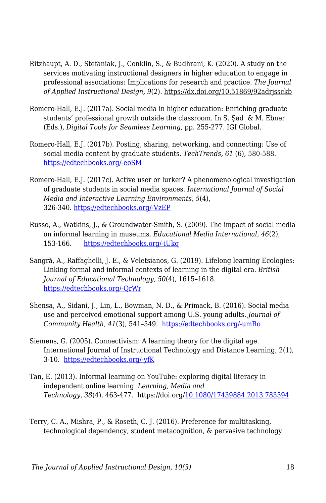- Ritzhaupt, A. D., Stefaniak, J., Conklin, S., & Budhrani, K. (2020). A study on the services motivating instructional designers in higher education to engage in professional associations: Implications for research and practice. *The Journal of Applied Instructional Design, 9*(2). https://dx.doi.org/10.51869/92adrjssckb
- Romero-Hall, E.J. (2017a). Social media in higher education: Enriching graduate students' professional growth outside the classroom. In S. Şad & M. Ebner (Eds.), *Digital Tools for Seamless Learning,* pp. 255-277. IGI Global.
- Romero-Hall, E.J. (2017b). Posting, sharing, networking, and connecting: Use of social media content by graduate students. *TechTrends, 61* (6), 580-588. [https://edtechbooks.org/-eoSM](https://doi.org/10.1007/s11528-017-0173-5)
- Romero-Hall, E.J. (2017c). Active user or lurker? A phenomenological investigation of graduate students in social media spaces. *International Journal of Social Media and Interactive Learning Environments, 5*(4), 326-340. [https://edtechbooks.org/-VzEP](https://doi.org/10.1504/IJSMILE.2017.10012109)
- Russo, A., Watkins, J., & Groundwater‐Smith, S. (2009). The impact of social media on informal learning in museums. *Educational Media International, 46*(2), 153-166. [https://edtechbooks.org/-iUkq](https://doi.org/10.1080/09523980902933532)
- Sangrà, A., Raffaghelli, J. E., & Veletsianos, G. (2019). Lifelong learning Ecologies: Linking formal and informal contexts of learning in the digital era. *British Journal of Educational Technology, 50*(4), 1615–1618. [https://edtechbooks.org/-QrWr](https://doi.org/10.1111/bjet.12828)
- Shensa, A., Sidani, J., Lin, L., Bowman, N. D., & Primack, B. (2016). Social media use and perceived emotional support among U.S. young adults. *Journal of Community Health*, *41*(3), 541–549. [https://edtechbooks.org/-umRo](https://doi.org/10.1007/s10900-015-0128-8)
- Siemens, G. (2005). Connectivism: A learning theory for the digital age. International Journal of Instructional Technology and Distance Learning, 2(1), 3-10. [https://edtechbooks.org/-yfK](http://www.itdl.org/Journal/Jan_05/article01.htm)
- Tan, E. (2013). Informal learning on YouTube: exploring digital literacy in independent online learning. *Learning, Media and Technology, 38*(4), 463-477. https://doi.org/[10.1080/17439884.2013.783594](https://doi-org.esearch.ut.edu/10.1080/17439884.2013.783594)
- Terry, C. A., Mishra, P., & Roseth, C. J. (2016). Preference for multitasking, technological dependency, student metacognition, & pervasive technology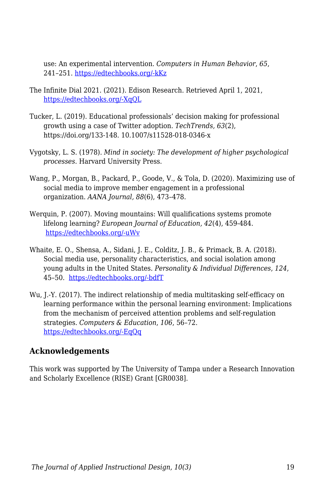use: An experimental intervention. *Computers in Human Behavior*, *65*, 241–251. [https://edtechbooks.org/-kKz](https://doi-org.esearch.ut.edu/10.1016/j.chb.2016.08.009)

- The Infinite Dial 2021. (2021). Edison Research. Retrieved April 1, 2021, [https://edtechbooks.org/-XqQL](https://www.edisonresearch.com/the-infinite-dial-2021-2/)
- Tucker, L. (2019). Educational professionals' decision making for professional growth using a case of Twitter adoption. *TechTrends, 63*(2), https://doi.org/133-148. 10.1007/s11528-018-0346-x
- Vygotsky, L. S. (1978). *Mind in society: The development of higher psychological processes*. Harvard University Press.
- Wang, P., Morgan, B., Packard, P., Goode, V., & Tola, D. (2020). Maximizing use of social media to improve member engagement in a professional organization. *AANA Journal, 88*(6), 473–478.
- Werquin, P. (2007). Moving mountains: Will qualifications systems promote lifelong learning? *European Journal of Education, 42*(4), 459-484. [https://edtechbooks.org/-uWv](https://doi.org/10.1111/j.1465-3435.2007.00327.x)
- Whaite, E. O., Shensa, A., Sidani, J. E., Colditz, J. B., & Primack, B. A. (2018). Social media use, personality characteristics, and social isolation among young adults in the United States. *Personality & Individual Differences*, *124*, 45–50. [https://edtechbooks.org/-bdfT](https://doi.org/10.1016/j.paid.2017.10.030)
- Wu, J.-Y. (2017). The indirect relationship of media multitasking self-efficacy on learning performance within the personal learning environment: Implications from the mechanism of perceived attention problems and self-regulation strategies. *Computers & Education*, *106*, 56–72. [https://edtechbooks.org/-EqQq](https://doi-org.esearch.ut.edu/10.1016/j.compedu.2016.10.010)

### **Acknowledgements**

This work was supported by The University of Tampa under a Research Innovation and Scholarly Excellence (RISE) Grant [GR0038].